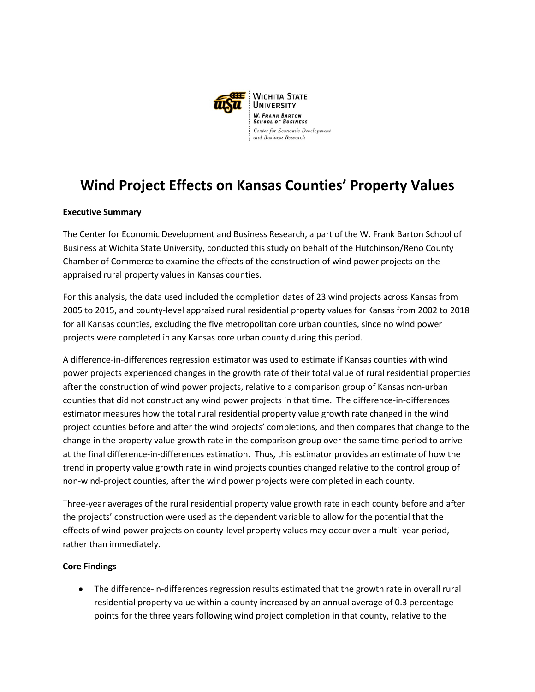

## **Wind Project Effects on Kansas Counties' Property Values**

## **Executive Summary**

The Center for Economic Development and Business Research, a part of the W. Frank Barton School of Business at Wichita State University, conducted this study on behalf of the Hutchinson/Reno County Chamber of Commerce to examine the effects of the construction of wind power projects on the appraised rural property values in Kansas counties.

For this analysis, the data used included the completion dates of 23 wind projects across Kansas from 2005 to 2015, and county-level appraised rural residential property values for Kansas from 2002 to 2018 for all Kansas counties, excluding the five metropolitan core urban counties, since no wind power projects were completed in any Kansas core urban county during this period.

A difference-in-differences regression estimator was used to estimate if Kansas counties with wind power projects experienced changes in the growth rate of their total value of rural residential properties after the construction of wind power projects, relative to a comparison group of Kansas non-urban counties that did not construct any wind power projects in that time. The difference-in-differences estimator measures how the total rural residential property value growth rate changed in the wind project counties before and after the wind projects' completions, and then compares that change to the change in the property value growth rate in the comparison group over the same time period to arrive at the final difference-in-differences estimation. Thus, this estimator provides an estimate of how the trend in property value growth rate in wind projects counties changed relative to the control group of non-wind-project counties, after the wind power projects were completed in each county.

Three-year averages of the rural residential property value growth rate in each county before and after the projects' construction were used as the dependent variable to allow for the potential that the effects of wind power projects on county-level property values may occur over a multi-year period, rather than immediately.

## **Core Findings**

• The difference-in-differences regression results estimated that the growth rate in overall rural residential property value within a county increased by an annual average of 0.3 percentage points for the three years following wind project completion in that county, relative to the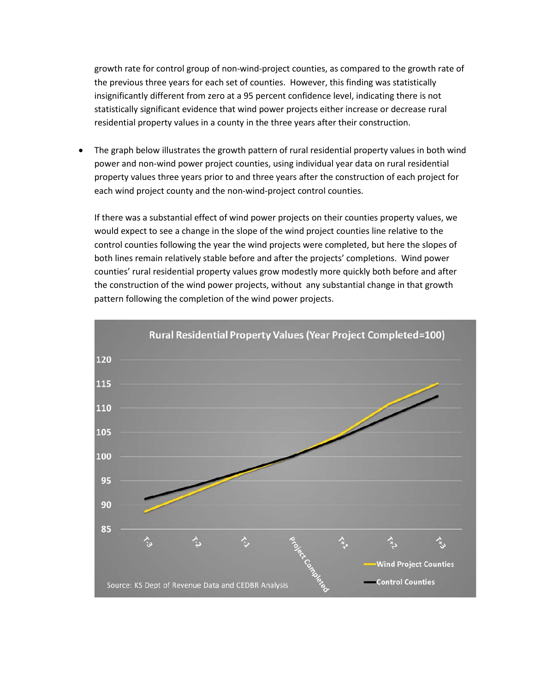growth rate for control group of non-wind-project counties, as compared to the growth rate of the previous three years for each set of counties. However, this finding was statistically insignificantly different from zero at a 95 percent confidence level, indicating there is not statistically significant evidence that wind power projects either increase or decrease rural residential property values in a county in the three years after their construction.

• The graph below illustrates the growth pattern of rural residential property values in both wind power and non-wind power project counties, using individual year data on rural residential property values three years prior to and three years after the construction of each project for each wind project county and the non-wind-project control counties.

If there was a substantial effect of wind power projects on their counties property values, we would expect to see a change in the slope of the wind project counties line relative to the control counties following the year the wind projects were completed, but here the slopes of both lines remain relatively stable before and after the projects' completions. Wind power counties' rural residential property values grow modestly more quickly both before and after the construction of the wind power projects, without any substantial change in that growth pattern following the completion of the wind power projects.

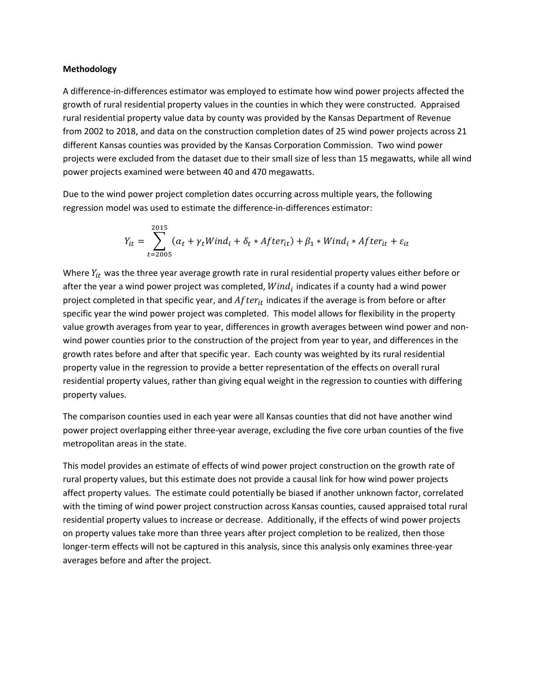## **Methodology**

A difference-in-differences estimator was employed to estimate how wind power projects affected the growth of rural residential property values in the counties in which they were constructed. Appraised rural residential property value data by county was provided by the Kansas Department of Revenue from 2002 to 2018, and data on the construction completion dates of 25 wind power projects across 21 different Kansas counties was provided by the Kansas Corporation Commission. Two wind power projects were excluded from the dataset due to their small size of less than 15 megawatts, while all wind power projects examined were between 40 and 470 megawatts.

Due to the wind power project completion dates occurring across multiple years, the following regression model was used to estimate the difference-in-differences estimator:

$$
Y_{it} = \sum_{t=2005}^{2015} (\alpha_t + \gamma_t Wind_i + \delta_t * After_{it}) + \beta_1 * Wind_i * After_{it} + \varepsilon_{it}
$$

Where  $Y_{it}$  was the three year average growth rate in rural residential property values either before or after the year a wind power project was completed,  $Wind_i$  indicates if a county had a wind power project completed in that specific year, and  $After<sub>it</sub>$  indicates if the average is from before or after specific year the wind power project was completed. This model allows for flexibility in the property value growth averages from year to year, differences in growth averages between wind power and nonwind power counties prior to the construction of the project from year to year, and differences in the growth rates before and after that specific year. Each county was weighted by its rural residential property value in the regression to provide a better representation of the effects on overall rural residential property values, rather than giving equal weight in the regression to counties with differing property values.

The comparison counties used in each year were all Kansas counties that did not have another wind power project overlapping either three-year average, excluding the five core urban counties of the five metropolitan areas in the state.

This model provides an estimate of effects of wind power project construction on the growth rate of rural property values, but this estimate does not provide a causal link for how wind power projects affect property values. The estimate could potentially be biased if another unknown factor, correlated with the timing of wind power project construction across Kansas counties, caused appraised total rural residential property values to increase or decrease. Additionally, if the effects of wind power projects on property values take more than three years after project completion to be realized, then those longer-term effects will not be captured in this analysis, since this analysis only examines three-year averages before and after the project.